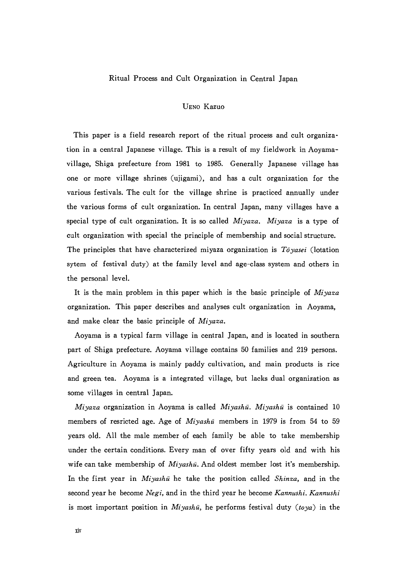## Ritual Process and Cult Organization in Central Japan

## UENo Kazuo

This paper is a field research report of the ritual process and cult organization in a central Japanese village. This is a result of my fieldwork in Aoyama village, Shiga prefecture from 1981 to 1985. Generally Japanese village has one or more village shrines(ujigami), and has a cult organization for the various festivals. The cult for the village shrine is practiced amually under the various forms of cult organization. In central Japan, many villages have a special type of cult organization. It is so called  $Miyazz$ . Miyaza is a type of cult organization with special the principle of membership and social structure. The principles that have characterized miyaza organization is  $T\bar{o}yasei$  (lotation sytem of festival duty) at the family level and age-class system and others in the personal level.

It is the main problem in this paper which is the basic principle of  $Miyaxa$ organization. This paper describes and analyses cult organization in Aoyama, and make clear the basic principle of  $Miyaza$ .

Aoyama is a typical farm village in central Japan, and is located in southern part of Shiga pref㏄ture. Aoyama village contains 50 families and 219 persons. Agriculture in Aoyama is mainly paddy cultivation, and main products is rice and green tea. Aoyama is a integrated village, but iacks dual organization as some villages in central Japan.

Miyaza organization in Aoyama is called Miyashū. Miyashū is contained 10 members of resricted age. Age of  $Miyash\bar{u}$  members in 1979 is from 54 to 59 years old. All the male member of each family be able to take membership under the certain conditions. Every man of over fifty years old and with his wife can take membership of  $Miyash\bar{u}$ . And oldest member lost it's membership. In the first year in  $Miyash\bar{u}$  he take the position called Shinza, and in the second year he become Negi, and in the third year he become Kannushi. Kannushi is most important position in  $Miyash\bar{u}$ , he performs festival duty ( $toya$ ) in the